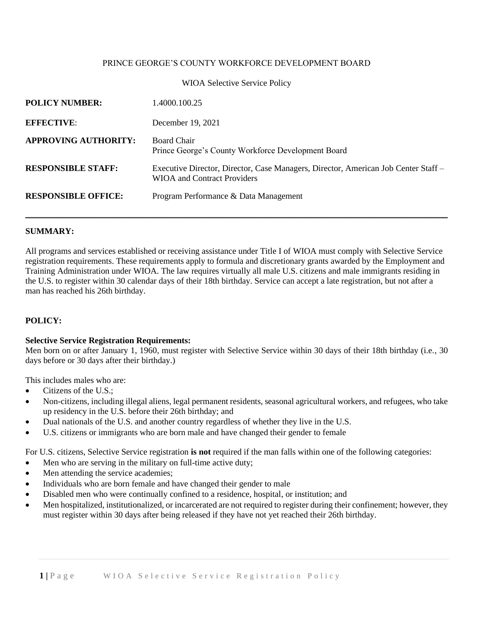### PRINCE GEORGE'S COUNTY WORKFORCE DEVELOPMENT BOARD

#### WIOA Selective Service Policy

| <b>POLICY NUMBER:</b>       | 1.4000.100.25                                                                                                            |
|-----------------------------|--------------------------------------------------------------------------------------------------------------------------|
| <b>EFFECTIVE:</b>           | December 19, 2021                                                                                                        |
| <b>APPROVING AUTHORITY:</b> | <b>Board Chair</b><br>Prince George's County Workforce Development Board                                                 |
| <b>RESPONSIBLE STAFF:</b>   | Executive Director, Director, Case Managers, Director, American Job Center Staff –<br><b>WIOA</b> and Contract Providers |
| <b>RESPONSIBLE OFFICE:</b>  | Program Performance & Data Management                                                                                    |

#### **SUMMARY:**

All programs and services established or receiving assistance under Title I of WIOA must comply with Selective Service registration requirements. These requirements apply to formula and discretionary grants awarded by the Employment and Training Administration under WIOA. The law requires virtually all male U.S. citizens and male immigrants residing in the U.S. to register within 30 calendar days of their 18th birthday. Service can accept a late registration, but not after a man has reached his 26th birthday.

#### **POLICY:**

### **Selective Service Registration Requirements:**

Men born on or after January 1, 1960, must register with Selective Service within 30 days of their 18th birthday (i.e., 30 days before or 30 days after their birthday.)

This includes males who are:

- Citizens of the U.S.:
- Non-citizens, including illegal aliens, legal permanent residents, seasonal agricultural workers, and refugees, who take up residency in the U.S. before their 26th birthday; and
- Dual nationals of the U.S. and another country regardless of whether they live in the U.S.
- U.S. citizens or immigrants who are born male and have changed their gender to female

For U.S. citizens, Selective Service registration **is not** required if the man falls within one of the following categories:

- Men who are serving in the military on full-time active duty;
- Men attending the service academies;
- Individuals who are born female and have changed their gender to male
- Disabled men who were continually confined to a residence, hospital, or institution; and
- Men hospitalized, institutionalized, or incarcerated are not required to register during their confinement; however, they must register within 30 days after being released if they have not yet reached their 26th birthday.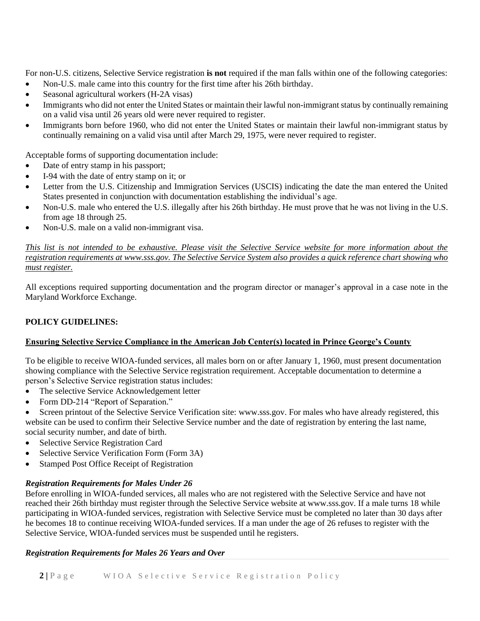For non-U.S. citizens, Selective Service registration **is not** required if the man falls within one of the following categories:

- Non-U.S. male came into this country for the first time after his 26th birthday.
- Seasonal agricultural workers (H-2A visas)
- Immigrants who did not enter the United States or maintain their lawful non-immigrant status by continually remaining on a valid visa until 26 years old were never required to register.
- Immigrants born before 1960, who did not enter the United States or maintain their lawful non-immigrant status by continually remaining on a valid visa until after March 29, 1975, were never required to register.

Acceptable forms of supporting documentation include:

- Date of entry stamp in his passport;
- I-94 with the date of entry stamp on it; or
- Letter from the U.S. Citizenship and Immigration Services (USCIS) indicating the date the man entered the United States presented in conjunction with documentation establishing the individual's age.
- Non-U.S. male who entered the U.S. illegally after his 26th birthday. He must prove that he was not living in the U.S. from age 18 through 25.
- Non-U.S. male on a valid non-immigrant visa.

*This list is not intended to be exhaustive. Please visit the Selective Service website for more information about the registration requirements at www.sss.gov. The Selective Service System also provides a quick reference chart showing who must register.*

All exceptions required supporting documentation and the program director or manager's approval in a case note in the Maryland Workforce Exchange.

# **POLICY GUIDELINES:**

# **Ensuring Selective Service Compliance in the American Job Center(s) located in Prince George's County**

To be eligible to receive WIOA-funded services, all males born on or after January 1, 1960, must present documentation showing compliance with the Selective Service registration requirement. Acceptable documentation to determine a person's Selective Service registration status includes:

- The selective Service Acknowledgement letter
- Form DD-214 "Report of Separation."
- Screen printout of the Selective Service Verification site: www.sss.gov. For males who have already registered, this website can be used to confirm their Selective Service number and the date of registration by entering the last name, social security number, and date of birth.
- Selective Service Registration Card
- Selective Service Verification Form (Form 3A)
- Stamped Post Office Receipt of Registration

# *Registration Requirements for Males Under 26*

Before enrolling in WIOA-funded services, all males who are not registered with the Selective Service and have not reached their 26th birthday must register through the Selective Service website at www.sss.gov. If a male turns 18 while participating in WIOA-funded services, registration with Selective Service must be completed no later than 30 days after he becomes 18 to continue receiving WIOA-funded services. If a man under the age of 26 refuses to register with the Selective Service, WIOA-funded services must be suspended until he registers.

# *Registration Requirements for Males 26 Years and Over*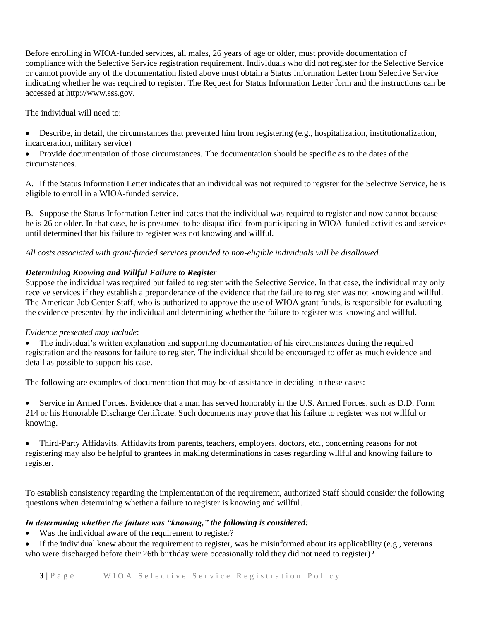Before enrolling in WIOA-funded services, all males, 26 years of age or older, must provide documentation of compliance with the Selective Service registration requirement. Individuals who did not register for the Selective Service or cannot provide any of the documentation listed above must obtain a Status Information Letter from Selective Service indicating whether he was required to register. The Request for Status Information Letter form and the instructions can be accessed at http://www.sss.gov.

The individual will need to:

- Describe, in detail, the circumstances that prevented him from registering (e.g., hospitalization, institutionalization, incarceration, military service)
- Provide documentation of those circumstances. The documentation should be specific as to the dates of the circumstances.

A. If the Status Information Letter indicates that an individual was not required to register for the Selective Service, he is eligible to enroll in a WIOA-funded service.

B. Suppose the Status Information Letter indicates that the individual was required to register and now cannot because he is 26 or older. In that case, he is presumed to be disqualified from participating in WIOA-funded activities and services until determined that his failure to register was not knowing and willful.

### *All costs associated with grant-funded services provided to non-eligible individuals will be disallowed.*

# *Determining Knowing and Willful Failure to Register*

Suppose the individual was required but failed to register with the Selective Service. In that case, the individual may only receive services if they establish a preponderance of the evidence that the failure to register was not knowing and willful. The American Job Center Staff, who is authorized to approve the use of WIOA grant funds, is responsible for evaluating the evidence presented by the individual and determining whether the failure to register was knowing and willful.

### *Evidence presented may include*:

• The individual's written explanation and supporting documentation of his circumstances during the required registration and the reasons for failure to register. The individual should be encouraged to offer as much evidence and detail as possible to support his case.

The following are examples of documentation that may be of assistance in deciding in these cases:

• Service in Armed Forces. Evidence that a man has served honorably in the U.S. Armed Forces, such as D.D. Form 214 or his Honorable Discharge Certificate. Such documents may prove that his failure to register was not willful or knowing.

• Third-Party Affidavits. Affidavits from parents, teachers, employers, doctors, etc., concerning reasons for not registering may also be helpful to grantees in making determinations in cases regarding willful and knowing failure to register.

To establish consistency regarding the implementation of the requirement, authorized Staff should consider the following questions when determining whether a failure to register is knowing and willful.

### *In determining whether the failure was "knowing," the following is considered:*

• Was the individual aware of the requirement to register?

If the individual knew about the requirement to register, was he misinformed about its applicability (e.g., veterans who were discharged before their 26th birthday were occasionally told they did not need to register)?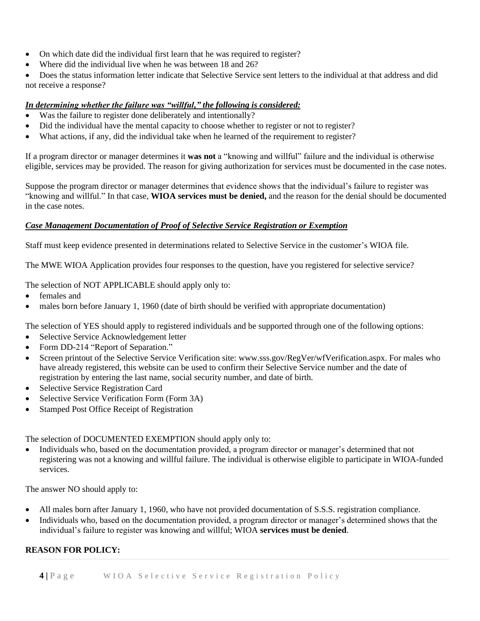- On which date did the individual first learn that he was required to register?
- Where did the individual live when he was between 18 and 26?
- Does the status information letter indicate that Selective Service sent letters to the individual at that address and did not receive a response?

### *In determining whether the failure was "willful," the following is considered:*

- Was the failure to register done deliberately and intentionally?
- Did the individual have the mental capacity to choose whether to register or not to register?
- What actions, if any, did the individual take when he learned of the requirement to register?

If a program director or manager determines it **was not** a "knowing and willful" failure and the individual is otherwise eligible, services may be provided. The reason for giving authorization for services must be documented in the case notes.

Suppose the program director or manager determines that evidence shows that the individual's failure to register was "knowing and willful." In that case, **WIOA services must be denied,** and the reason for the denial should be documented in the case notes.

### *Case Management Documentation of Proof of Selective Service Registration or Exemption*

Staff must keep evidence presented in determinations related to Selective Service in the customer's WIOA file.

The MWE WIOA Application provides four responses to the question, have you registered for selective service?

The selection of NOT APPLICABLE should apply only to:

- females and
- males born before January 1, 1960 (date of birth should be verified with appropriate documentation)

The selection of YES should apply to registered individuals and be supported through one of the following options:

- Selective Service Acknowledgement letter
- Form DD-214 "Report of Separation."
- Screen printout of the Selective Service Verification site: www.sss.gov/RegVer/wfVerification.aspx. For males who have already registered, this website can be used to confirm their Selective Service number and the date of registration by entering the last name, social security number, and date of birth.
- Selective Service Registration Card
- Selective Service Verification Form (Form 3A)
- Stamped Post Office Receipt of Registration

The selection of DOCUMENTED EXEMPTION should apply only to:

• Individuals who, based on the documentation provided, a program director or manager's determined that not registering was not a knowing and willful failure. The individual is otherwise eligible to participate in WIOA-funded services.

The answer NO should apply to:

- All males born after January 1, 1960, who have not provided documentation of S.S.S. registration compliance.
- Individuals who, based on the documentation provided, a program director or manager's determined shows that the individual's failure to register was knowing and willful; WIOA **services must be denied**.

# **REASON FOR POLICY:**